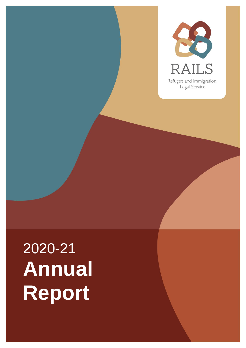

# 2020-21 **Annual Report**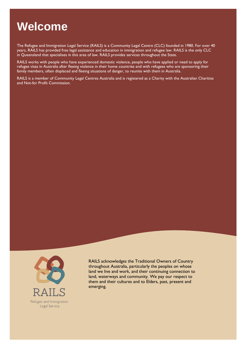# **Welcome**

The Refugee and Immigration Legal Service (RAILS) is a Community Legal Centre (CLC) founded in 1980. For over 40<br>years, RAILS has provided free legal assistance and education in immigration and refugee law. RAILS is the on years, Rails has provided from the spronger and the sprovided free legal assistance and refugee law. RAILS provides services throughout the State and refugee law. RAILS provides services throughout the State in Queensland that specialises in this area of law. RAILS provides services throughout the State.

RAILS works with people who have experienced domestic violence, people who have applied or need to apply for<br>refugee visas in Australia after fleeing violence in their home countries and with refugees who are sponsoring th refugee visit in Australia and  $\alpha$  in Australia and the interest in the sponsoring violence in  $\alpha$  and  $\beta$  are sponsoring the sponsoring their sponsoring their home countries with refugees who are sponsoring the sponso family members, often displaced and fleeing situations of danger, to reunite with them in Australia.

and Not-for Profit Commission



RAILS acknowledges the Traditional Owners of Country<br>throughout Australia, particularly the peoples on whose land we live and work, and their continuing connection to land, waterways and community. We pay our respect to  $\frac{1}{2}$  and their cultures and to Flders past present and them and their cultures and to Elders, past, present and emerging.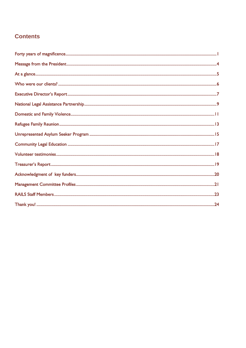### **Contents**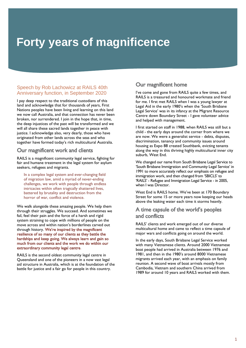# <span id="page-3-0"></span>**Forty years of magnificence**

### Speech by Rob Lachowicz at RAILS 40th Anniversary function, in September 2020

I pay deep respect to the traditional custodians of this land and acknowledge that for thousands of years, First Nations peoples have been living and learning on this land we now call Australia, and that connection has never been broken, nor surrendered. I join in the hope that, in time, the deep injustices of the past will be transformed and we will all share these sacred lands together in peace with justice. I acknowledge also, very dearly, those who have originated from other lands across the seas and who originated formed for the seasonal from the seasonal dust the seasonal dust and who seasonal dust in the seasonal dust in the seasonal dust in the seasonal dust in the seasonal dust in the seasonal dust in the seasonal dus together have formed today's rich multicultural Australia.

Our magnificent work and clients<br>RAILS is a magnificent community legal service, fighting for fair and humane treatment in the legal system for asylum  $\frac{1}{2}$  factor and  $\frac{1}{2}$  and  $\frac{1}{2}$  system for asymmetric system for asymmetric system for asymmetric system for a system for a system for a system for a system for a system for a system for a system for a system seekers, refugees and migrants.

In a complex legal system and ever-changing field<br>of migration law, amid a myriad of never-ending challenges, we work with people through endless intricacies within often tragically shattered lives, battered by brutality and destruction from the horror of war, conflict and violence. horror of war, conflict and violence.

We walk alongside these amazing people. We help them<br>through their struggles. We succeed. And sometimes we fail, feel their pain and the force of a harsh and rigid system straining to cope with millions of people on the move across and within nation's borderlines carved out through history. We're inspired by the magnificent resilience of so many of our clients as they battle the hardships and keep going. We always learn and gain so much from our clients and the work we do within our extraordinary community legal centre.

RAILS is the second oldest community legal centre in Queensland and one of the pioneers in a now vast legal aid structure in Australia, which is at the foundation of the  $\overline{\phantom{a}}$  battle for justice and a fair go for people in this country battle for justice and a fair go for people in this country.

Our magnificent home<br>I've come and gone from RAILS quite a few times, and RAILS is a treasured and honoured workmate and friend for me. I first met RAILS when I was a young lawyer at Legal Aid in the early 1980's when the 'South Brisbane Legal Service' was in its infancy at the Migrant Resource Centre down Boundary Street - I gave volunteer advice and helped with management.

I first started on staff in 1988, when RAILS was still but a child - the early days around the corner from where we are now. We were a generalist service - debts, disputes, discrimination, tenancy and community issues around housing as Expo 88 created Southbank, evicting tenants along the way in this thriving highly multicultural inner city suburb, West End.

We changed our name from South Brisbane Legal Service to 'South Brisbane Immigration and Community Legal Service' in 1991 to more accurately reflect our emphasis on refugee and immigration work, and then changed from 'SBICLS' to 'RAILS' - Refugee and Immigration Legal Service - in 2005, when I was Director. when I was Director.

West End is RAILS home. We've been at 170 Boundary<br>Street for some 15 or more years now keeping our heads  $\frac{1}{2}$  show the leaking water each time it storms heavily above the leading water each time it storms  $\mathbf{f}$ 

# A time capsule of the world's peoples<br>and conflicts

RAILS' clients and work emerged out of our diverse multicultural home and came to reflect a time capsule of  $\frac{1}{2}$  maior wars and conflicts going on around the world

major wars and conflicts going on around the world. In the early days, South Brisbane Legal Service worked with many Vietnamese clients. Around 2000 Vietnamese boat people had arrived in Australia between 1976 and 1981, and then in the 1980's around 8000 Vietnamese migrants arrived each year, with an emphasis on family reunion. A second wave of boat arrivals mostly from Cambodia, Vietnam and southern China arrived from 1989 for around 10 years and RAILS worked with them. 1989 for around 10 years and RAILS worked with them.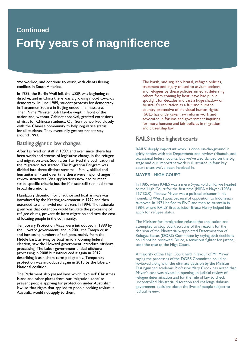# **Continued Forty years of magnificence**

We worked, and continue to work, with clients fleeing conflicts in South America.

In 1989, the Berlin Wall fell, the USSR was beginning to dissolve, and in China there was a growing mood towards democracy. In June 1989, student protests for democracy in Tiananmen Square in Beijing ended in a massacre. Then Prime Minister Bob Hawke wept in front of the nation and, without Cabinet approval, granted extensions of visas for Chinese students. Our Service worked closely with the Chinese community to help regularise status for all students. They eventually got permanent stay around 1993. ar *can*cer 1993.

Battling gigantic law changes<br>After I arrived on staff in 1989, and ever since, there has been swirls and storms of legislative change in the refugee and migration area. Soon after I arrived the codification of the Migration Act started. The Migration Program was divided into three distinct streams - family, skilled and humanitarian - and over time there were major changes in review structures. Visa applications now had to meet strict, specific criteria but the Minister still retained some broad discretions.

broad discretions. Mandatory detention for unauthorised boat arrivals was introduced by the Keating government in 1992 and then extended to all unlawful non-citizens in 1994. The rationale given was that detention would facilitate the processing of refugee claims, prevent de-facto migration and save the cost  $\frac{1}{2}$  refugee claims, prevent decomposition and satisfied the community  $\sim$  locating people in the community.

Temporary Protection Visas were introduced in 1999 by and increasing numbers of refugees, mainly from the Middle East, arriving by boat amid a looming federal election, saw the Howard government introduce offshore processing. The Labor government ended offshore processing in 2008 but introduced it again in 2012 describing it as a short-term policy only. Temporary protection was introduced again in 2013 by the Liberal-National coalition.

The Parliament also passed laws which 'excised' Christmas Island and other places from our 'migration zone' to prevent people applying for protection under Australian law, so that rights that applied to people seeking asylum in law, so that rights that applied to people seeking asylum in Australia would not apply to them.

The harsh, and arguably brutal, refugee policies, treatment and injury caused to asylum seekers and refugees by these policies aimed at deterring others from coming by boat, have had public spotlight for decades and cast a huge shadow on Australia's reputation as a fair and humane country protective of individual human rights. RAILS has undertaken law reform work and advocated in forums and government inquiries for more humane and fair policies in migration and citizenship law and citizenship law.

## rails in the highest courts

RAILS' deeply important work is done on-the-ground in gritty battles with the Department and review tribunals, and occasional federal courts. But we've also danced on the big stage and our important work is illustrated in four key court cases we've been involved in.

### **MAYER - HIGH COURT**

In 1985, when RAILS was a mere 5-year-old child, we headed to the High Court for the first time (MIEA v Mayer (1985) 157 CLR). Mathew Mayer was a political prisoner in his homeland West Papua because of opposition to Indonesian takeover. In 1971 he fled to PNG and then to Australia in 1984, where RAILS' first solicitor Bruce Henry helped him apply for refugee status. apply for refugee status.

The Minister for Immigration refused the application and attempted to stop court scrutiny of the reasons for the decision of the Ministerially-appointed Determination of Refugee Status (DORS) Committee by saying such decisions could not be reviewed. Bruce, a tenacious fighter for justice, took the case to the High Court.  $\sim$  took the case to the  $\sim$ 

A majority of the High Court held in favour of Mr Mayer<br>saying the processes of the DORS Committee could be reviewed along with the ultimate decision by the Minister. Distinguished academic Professor Mary Crock has noted that Mayer's case was pivotal in opening up judicial review of refugee determination and for the rule of law to check uncontrolled Ministerial discretion and challenge dubious government decisions about the lives of people subject to judicial review. judicial review.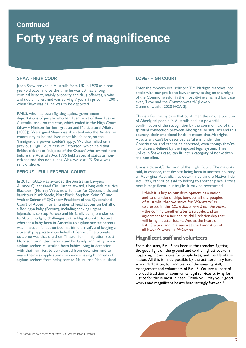# **Continued Forty years of magnificence**

### **SHAW - HIGH COURT**

Jason Shaw arrived in Australia from UK in 1970 as a one-<br>year-old baby, and by the time he was 30, had a long criminal history, mainly property and drug offences, a wife and two children, and was serving 7 years in prison. In 2001, when Shaw was  $31$  he was to be deported. when Shaw was 31, he was to be deported.

RAILS, who had been fighting against government<br>deportations of people who had lived most of their lives in Australia, took on the case, which ended in the High Court (Shaw v Minister for Immigration and Multicultural Affairs [2003]). We argued Shaw was absorbed into the Australian community as he had lived most his life here, so the 'immigration' power couldn't apply. We also relied on a previous High Court case of Patterson, which held that British citizens as 'subjects of the Queen' who arrived here before the Australia Act 1986 held a special status as noncitizens and also non-aliens. Alas, we lost  $4/3$ . Shaw was sent offshore.

### **FEROUZ – FULL FEDERAL COURT**

In 2015, RAILS was awarded the Australian Lawyers<br>Alliance Queensland Civil Justice Award, along with Maurice Blackburn (Murray Watt, now Senator for Queensland), and barristers Mark Steele, Matt Black, Stephen Keim SC and Walter Sofronoff OC (now President of the Queensland Court of Appeal), for a number of legal actions on behalf of a Rohingya baby (Ferouz), including seeking urgent injunctions to stop Ferouz and his family being transferred to Nauru; lodging challenges to the Migration Act to test whether a baby born in Australia to asylum seeker parents was in fact an 'unauthorised maritime arrival': and lodging a citizenship application on behalf of Ferouz. The ultimate outcome was that the then Minister for Immigration Scott Morrison permitted Ferouz and his family, and many more asylum-seeker, Australian-born babies living in detention with their families, to be released from detention and to make their visa applications onshore  $-$  saving hundreds of make the matter of the same their visit of the same of the same search in the same search of the same search of the same is a search of the same is an among the same of the same of the same of the same of the same of the s asylum-seekers from being sent to Nauru and Manus Island.

### **LOVE - HIGH COURT**

Enter the modern era, solicitor Tim Madigan marches into battle with our pro-bono lawyer army taking on the might of the Commonwealth in the most divinely named law case ever, 'Love and the Commonwealth' (Love v  $Commonweakth$   $2020$  HCA 3)  $\sum_{i=1}^{n}$ 

This is a fascinating case that confirmed the unique position<br>of Aboriginal people in Australia and is a powerful confirmation of the recognition by the common law of the spiritual connection between Aboriginal Australians and this country, their traditional lands. It means that Aboriginal Australians can't be described as 'aliens' under the Constitution, and cannot be deported, even though they're not citizens defined by the imposed legal system. They, unlike in Shaw's case, can fit into a category of non-citizen and non-alien.

It was a close 4/3 decision of the High Court. The majority said, in essence, that despite being born in another country, an Aboriginal Australian, as determined via the Native Title Act 1993, cannot be said to belong to another place. Love's Act 1993, cannot be said to belong to another place. Love to be<br>case is magnificent but fragile. It may be overturned case is magnificent, but fragile. It may be overturned.

I think it is key to our development as a nation<br>and to the relationships between all the peoples of Australia, that we strive for '*Makaratta'* as expressed in the *Uluru Statement from the Heart* - the coming together after a struggle, and an agreement for a fair and truthful relationship that will bring a better future. And at the heart of RAILS work, and in a sense at the foundation of The first work, and in a sense at the redination of the foundation of all lawyer's work, is *Makaratta*.

# **Magnificent staff and volunteers<br>From the start, RAILS has been in the trenches fighting**

the good fight on the ground and to the highest court in hugely significant issues for people lives, and the life of the nation. All this is made possible by the extraordinary hard work, dedication, toil and tears of the amazing staff, management and volunteers of RAILS. You are all part of a proud tradition of community legal services striving for justice for those most in need. Thank you. May your good works and magnificent hearts beat strongly forever.<sup>1</sup>



*<sup>1</sup> This speech has been edited to fit within RAILS Annual Report Guidelines.*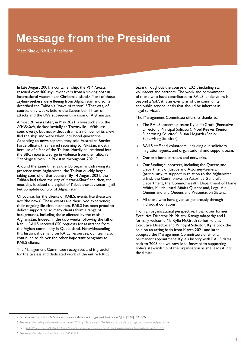# <span id="page-6-0"></span>**Message from the President**

In late August 2001, a container ship, the  $MV$  Tampa, rescued over 400 asylum-seekers from a sinking boat in international waters near Christmas Island.<sup>2</sup> Most of those asylum-seekers were fleeing from Afghanistan and some described the Taliban's "wave of terror".<sup>3</sup> That was, of course, only weeks before the September 11 terror  $\frac{1}{2}$  attacks and the US's subsequent invasion of Afghanist attacks and the US's subsequent invasion of Afghanistan.

Almost 20 years later, in the 2021, a literal comp<sub>rement</sub>, and<br>*MV Polaris*, docked lawfully at Townsville.<sup>4</sup> With less<br>controversy, but not without drama, a number of its cre controversy, but not without drama, a number of its crew<br>fled the ship and were taken into hotel quarantine. According to news reports, they told Australian Border Force officers they feared returning to Pakistan, mostly because of a fear of the Taliban. Hardly an irrational fear  $$ the BBC reports a surge in violence from the Taliban's "ideological twin" in Pakistan throughout 2021.<sup>5</sup>

Around the same time, as the US began withdrawing its presence from Afghanistan, the Taliban quickly began taking control of that country. By 14 August 2021, the Taliban had taken the city of Mazar-i-Sharif and then, the next day, it seized the capital of Kabul, thereby securing all but complete control of Afghanistan.

Of course, for the clients of RAILS, events like these are not 'the news'. These events are their lived experience; their ongoing life circumstances. RAILS has been proud to deliver support to so many clients from a range of backgrounds, including those affected by the crisis in Afghanistan. Indeed, in the two weeks following the fall of Kabul, RAILS received 650 requests for assistance from the Afghan community in Oueensland. Notwithstanding this historical demand on RAILS resources, our team also continued to deliver the other important programs to RAILS clients. RAILS clients.

The Management Committee recognises and is grateful for the tireless and dedicated work of the entire RAILS for the tireless and dedicated work of the entire RAILS team throughout the course of 2021, including staff, volunteers and partners. The work and commitment of those who have contributed to RAILS' endeavours is beyond a 'job'; it is an exemplar of the community and public service ideals that should be inherent in  $\frac{1}{2}$  services<sup>2</sup> 'legal services'.

The Management Committee offers its thanks to:

- The RAILS leadership team: Kylie McGrath (Executive Director / Principal Solicitor), Noel Reeves (Senior<br>Supervising Solicitor), Susan Hogarth (Senior Supervising Solicitor), Susan Hogarth (Senior Supervising Solicitor).
- RAILS staff and volunteers, including our solicitors, migration agents, and organisational and support team.
- Our pro bono partners and networks.
- Our funding supporters, including the Queensland<br>Department of Justice and Attorney-General (particularly its support in relation to the Afghanistan crisis), the Commonwealth Attorney General's Department, the Commonwealth Department of Home Affairs, Multicultural Affairs Queensland, Legal Aid  $\alpha$  are  $\alpha$  and  $\alpha$  are  $\alpha$  and  $\alpha$  are  $\alpha$  are  $\alpha$   $\beta$  are  $\alpha$ Queensland and Queensland Presentation Sisters.
- All those who have given so generously through<br>individual donations.

From an organisational perspective, I thank our former Executive Director Ms Malathi Kanagasabapathy and I formally welcome Ms Kylie McGrath to her role as Executive Director and Principal Solicitor. Kylie took the role on an acting basis from March 2021 and later accepted the Management Committee's offer of a permanent appointment. Kylie's history with RAILS dates back to 2008 and we now look forward to supporting Kylie's stewardship of the organisation as she leads it into the future. the future.

<sup>2</sup> See Victorian Council for Civil Liberties Incorporated v Minister for Immigration & Multicultural Affairs [2001] FCA 1297.

*<sup>3</sup>* See *[<https://www.theguardian.com/australia-news/2021/aug/22/the-tampa-affair-20-years-on-the-ship-that-capsized-australias-refugee-policy>](https://www.theguardian.com/australia-news/2021/aug/22/the-tampa-affair-20-years-on-the-ship-that-capsized-australias-refugee-policy).* 

*<sup>4</sup>* See *[<https://7news.com.au/lifestyle/health-wellbeing/pakistani-crewman-in-police-custody-after-jumping-ship-at-townsville-port-c-2742381>](https://7news.com.au/lifestyle/health-wellbeing/pakistani-crewman-in-police-custody-after-jumping-ship-at-townsville-port-c-2742381).* 

*<sup>5</sup>* See *[<https://www.bbc.com/news/world-asia-58891613>](https://www.bbc.com/news/world-asia-58891613).*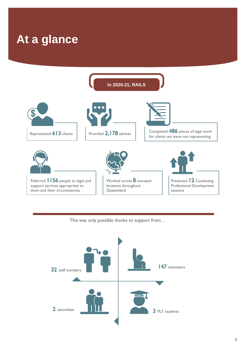<span id="page-7-0"></span>

This was only possible thanks to support from…

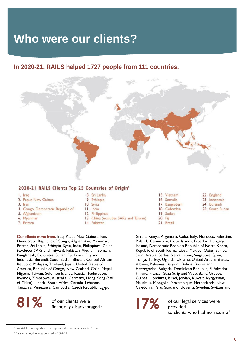# <span id="page-8-0"></span>**Who were our clients?**

### **In 2020-21, RAILS helped 1727 people from 111 countries.**



### 2020-21 RAILS Clients Top 25 Countries of Origin'

- I. Iraq
- 2. Papua New Guinea
- 3. Iran
- 4. Congo, Democratic Republic of
- 5. Afghanistan
- 6. Myanmar
- 7. Eritrea
- 8. Sri Lanka
- 9. Ethiopia
- 10. Syria
- 11. India
- 12. Philippines
- 13. China (excludes SARs and Taiwan)
- 14. Pakistan

**Our clients came from**: Iraq, Papua New Guinea, Iran, Democratic Republic of Congo, Afghanistan, Myanmar, Eritrea, Sri Lanka, Ethiopia, Syria, India, Philippines, China (excludes SARs and Taiwan), Pakistan, Vietnam, Somalia, Bangladesh, Colombia, Sudan, Fiji, Brazil, England, Indonesia, Burundi, South Sudan, Bhutan, Central African Republic, Malaysia, Thailand, Japan, United States of America, Republic of Congo, New Zealand, Chile, Nepal, Nigeria, Taiwan, Solomon Islands, Russian Federation, Rwanda, Zimbabwe, Australia, Germany, Hong Kong (SAR of China), Liberia, South Africa, Canada, Lebanon, of China), Liberia, Cambodia, Caech Republic, F  $T_{\text{max}}$   $T_{\text{max}}$ ,  $T_{\text{max}}$   $T_{\text{max}}$   $T_{\text{max}}$   $T_{\text{max}}$   $T_{\text{max}}$   $T_{\text{max}}$ 



15. Vietnam 16. Somalia 17. Bangladesh 18. Colombia 19. Sudan

- 20. Fiji
- 21. Brazil
- 22. England
- 23. Indonesia 24. Burundi
- 25. South Sudan

Ghana, Kenya, Argentina, Cuba, Italy, Morocco, Palestine, Ireland, Democratic People's Republic of North Korea, Republic of South Korea, Libya, Mexico, Qatar, Samoa, Saudi Arabia, Serbia, Sierra Leone, Singapore, Spain, Tonga, Turkey, Uganda, Ukraine, United Arab Emirates, Albania, Bahamas, Belgium, Bolivia, Bosnia and Herzegovina, Bulgaria, Dominican Republic, El Salvador, Finland, France, Gaza Strip and West Bank, Greece, Guinea, Honduras, Israel, Jordan, Kuwait, Kyrgyzstan, Mauritius, Mongolia, Mozambique, Netherlands, New Caledonia, Peru, Scotland Slovenia, Sweden, Switzerlands, Netherlands, Netherlands, Netherlands, Netherlands, N Caledonia, Peru, Scotland, Slovenia, Sweden, Switzerland

of our legal services were r<br>to clients to clients who had no income?<br>F

<sup>6</sup> Financial disadvantage data for all representation services closed in 2020-21

<sup>7</sup> Data for all legal services provided in 2002-21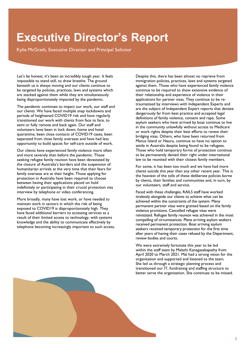# <span id="page-9-0"></span>**Executive Director's Report**

Kylie McGrath, Executive Director and Principal Solicitor

Let's be honest, it's been an incredibly tough year. It feels impossible to stand still, to draw breathe. The ground beneath us is always moving and our clients continue to be targeted by policies, practices, laws and systems which are stacked against them while they are simultaneously  $\frac{1}{2}$  being disproportionately impacted by the pandemic  $\mathbf{b}$  disproportional by impact by the panel minimized by  $\mathbf{b}$ .

The pandemic continues to impact our work, our staff and our clients. We have faced multiple snap lockdowns and periods of heightened COVID19 risk and have regularly transitioned our work with clients from face to face, to semi or fully remote and back again. Our staff and volunteers have been in lock down, home and hotel quarantine, been close contacts of COVID19 cases, been separated from close family overseas and have had less opportunity to build spaces for self-care outside of work. opportunity to build spaces for self-care outside of work.

Our clients have experienced family violence more often and more severely than before the pandemic. Those seeking refugee family reunion have been devastated by the closure of Australia's borders and the suspension of humanitarian arrivals at the very time that their fears for family overseas are at their height. Those applying for protection in Australia have been required to choose between having their applications placed on hold indefinitely or participating in their crucial protection visa intermitely or participating in their crucial protection vical<br>interview by telephone or video conferencing  $\sum_{i=1}^{n}$  interview by  $\sum_{i=1}^{n}$ 

More broadly, many have lost work, or have needed to maintain work in sectors in which the risk of being exposed to COVID19 is disproportionately high. They have faced additional barriers to accessing services as a result of their limited access to technology, with systems knowledge and the ability to communicate effectively by  $k$  dependence becoming increasingly important to such access telephone becoming increasingly important to such access. Despite this, there has been almost no reprieve from<br>immigration policies, practices, laws and systems targeted against them. Those who have experienced family violence continue to be required to show extensive evidence of their relationship and experience of violence in their applications for partner visas. They continue to be retraumatised by interviews with Independent Experts and are the subject of Independent Expert reports that deviate dangerously far from best practice and accepted legal definitions of family violence, consent and rape. Some asylum seekers who have arrived by boat continue to live in the community unlawfully without access to Medicare or work rights despite their best efforts to renew their bridging visas. Others, who have been returned from Manus Island or Nauru, continue to have no option to settle in Australia despite being found to be refugees. Those who hold temporary forms of protection continue to be permanently denied their right under international to be permanently denied their closest family members law to be reunited with their closest family members.

For some, it has been too much and we have had more clients suicide this year than any other recent year. This is the heaviest of the tolls of these deliberate policies borne by clients, their families and communities and, in turn, by our volunteers, staff and service.

Faced with these challenges, RAILS staff have worked tirelessly alongside our clients to achieve what can be achieved within the constraints of the system. Many permanent partner visas were granted based on the family violence provisions. Cancelled refugee visas were reinstated. Refugee family reunion was achieved in the most compelling of circumstances. Plane arriving asylum seekers received permanent protection. Boat arriving asylum seekers received temporary protection for the first time after years of having their cases refused by the Department, review bodies and courts.

We were extremely fortunate this year to be led within the staff team by Malathi Kanagasabapathy from April 2020 to March 2021. Mal had a strong vision for the organisation and supported and listened to the team. She led us through a strategic planning process and transitioned our IT, fundraising and staffing structure to transition our IT, fundraising and stating structure to be misse better serve the organisation. She continues to be missed.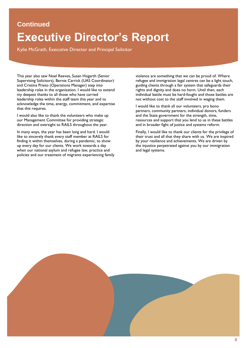### **Continued**

# **Executive Director's Report**

This year also saw Noel Reeves, Susan Hogarth (Senior and Cristina Prieto (Operations Manager) step into leadership roles in the organisation. I would like to extend my deepest thanks to all those who have carried leadership roles within the staff team this year and to acknowledge the time, energy, commitment, and expertise achaire integer are anne, energy, commitment, and expertise

that this requires. I would also like to thank the volunteers who make up our Management Committee for providing strategic our management committee for the committee for the strategies of the strategies of the strategies of the strategies of the strategies of the strategies of the strategies of the strategies of the strategies of the strategie  $\alpha$  and  $\alpha$  and  $\alpha$  are  $\alpha$  and  $\alpha$  are  $\alpha$  throughout the  $\alpha$ 

In many ways, the year has been long and hard. I would like to sincerely thank every staff member at RAILS for finding it within themselves, during a pandemic, to show up every day for our clients. We work towards a day when our national asylum and refugee law, practice and when our national asylum and refugee law, practice and policies and our treatment of migrants experiencing family violence are something that we can be proud of. Where refugee and immigration legal centres can be a light touch, guiding clients through a fair system that safeguards their rights and dignity and does no harm. Until then, each individual battle must be hard-fought and those battles are not without cost to the staff involved in waging them.

I would like to thank all our volunteers, pro bono partners, community partners, individual donors, funders and the State government for the strength, time, resources and support that you lend to us in these battles and in broader fight of justice and systems reform and in broader fight of  $\mathbf{g}$  is  $\mathbf{g}$  in the system reform.

Finally, I would like to thank our clients for the privilege of their trust and all that they share with us. We are inspired by your resilience and achievements. We are driven by the injustice perpetrated against you by our immigration  $\frac{1}{2}$  in  $\frac{1}{2}$  in  $\frac{1}{2}$  in  $\frac{1}{2}$  in  $\frac{1}{2}$  in  $\frac{1}{2}$  in  $\frac{1}{2}$  in  $\frac{1}{2}$  in  $\frac{1}{2}$  in  $\frac{1}{2}$  in  $\frac{1}{2}$  in  $\frac{1}{2}$  in  $\frac{1}{2}$  in  $\frac{1}{2}$  in  $\frac{1}{2}$  in  $\frac{1}{2}$  in  $\frac{1}{2}$  in  $\frac{1}{2}$  is a sequence of  $\frac{1}{2}$  sequence of  $\frac{1}{2}$ 

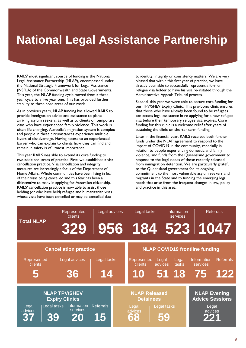# <span id="page-11-0"></span>**National Legal Assistance Partnership**

RAILS' most significant source of funding is the National<br>Legal Assistance Partnership (NLAP), encompassed under the National Strategic Framework for Legal Assistance (NSFLA) of the Commonwealth and State Governments. This year, the NLAP funding cycle moved from a threeyear cycle to a five year one. This has provided further stability to these core areas of our work. stability to these core areas of our work.

As in previous years, NLAP funding has allowed RAILS to provide immigration advice and assistance to planearriving asylum seekers, as well as to clients on temporary visas who have experienced family violence. This work is often life changing. Australia's migration system is complex and people in these circumstances experience multiple layers of disadvantage. Having access to an experienced lawyer who can explain to clients how they can find and remain in safety is of utmost importance. remain in safety is of utmost importance.

This year RAILS was able to extend its core funding to two additional areas of practice. First, we established a visa cancellation practice. Visa cancellation and integrity measures are increasingly a focus of the Department of Home Affairs. Whole communities have been living in fear of their visas being cancelled and this fear has been a disincentive to many in applying for Australian citizenship. RAILS' cancellation practice is now able to assist those holding (or who have held) refugee and humanitarian visas holding (or who have held) religion and humanitarian views<br>whose visas have been cancelled or may be cancelled due

to identity, integrity or consistency matters. We are very pleased that within this first year of practice, we have already been able to successfully represent a former refugee visa holder to have his visa re-instated through the Administrative Appeals Tribunal process.

Second, this year we were able to secure core funding for our TPV/SHEV Expiry Clinic. This pro-bono clinic ensures that those who have already been found to be refugees can access legal assistance in re-applying for a new refugee visa before their temporary refugee visa expires. Core funding for this clinic is a welcome relief after years of sustaining the clinic on shorter term funding. sustaining the clinic on shorter term funding.

Later in the financial year, RAILS received both further funds under the NLAP agreement to respond to the impact of COVID19 in the community, especially in relation to people experiencing domestic and family violence, and funds from the Queensland government to respond to the legal needs of those recently released from immigration detention. We are particularly grateful to the Queensland government for its ongoing commitment to the most vulnerable asylum seekers and migrants in the State and to funding the emerging legal needs that arise from the frequent changes in law, policy and practice in this area. and practice in this area.

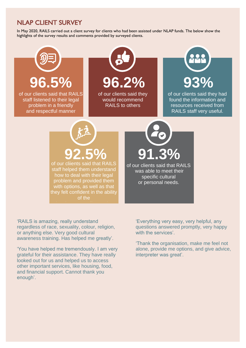### **NLAP CLIENT SURVEY**

In May 2020, RAILS carried out a client survey for clients who had been assisted under NLAP funds. The below show the In May 2020, Railway 2020, Railway 2020, Railway 2020, Railway 2020, Railway 2020, Railway 1999, Railway the below show the below the below the below the below the below the below the below the below the below the below th



'RAILS is amazing, really understand regardless of race, sexuality, colour, religion, or anything else. Very good cultural awareness training. Has helped me greatly'.

'You have helped me tremendously. I am very grateful for their assistance. They have really looked out for us and helped us to access other important services, like housing, food, and financial support. Cannot thank you enough'.

'Everything very easy, very helpful, any questions answered promptly, very happy with the services'.

'Thank the organisation, make me feel not alone, provide me options, and give advice, interpreter was great'.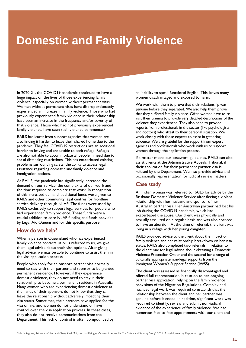# <span id="page-13-0"></span>**Domestic and Family Violence**

In 2020-21, the COVID19 pandemic continued to have a huge impact on the lives of those experiencing family violence, especially on women without permanent visas. Women without permanent visas have disproportionately experienced an increase in family violence. Those who had previously experienced family violence in their relationship have seen an increase in the frequency and/or severity of that violence. Those who had not previously experienced family violence, have seen such violence commence.<sup>8</sup>

RAILS has learnt from support agencies that women are also finding it harder to leave their shared home due to the pandemic. They feel COVID19 restrictions are an additional barrier to leaving and are unable to seek refuge. Refuges are also not able to accommodate all people in need due to social distancing restrictions. This has exacerbated existing problems surrounding safety, the ability to access legal assistance regarding domestic and family violence and assistance regarding domestic and family violence and family violence and family violence and family violence and family violence and  $\frac{1}{2}$ immigration options.

At RAILS, the pandemic has significantly increased the demand on our service, the complexity of our work and the time required to complete that work. In recognition of this increased demand, additional funds were given to RAILS and other community legal centres for frontline service delivery through NLAP. The funds were used by RAILS exclusively to support legal services for people who had experienced family violence. These funds were a crucial addition to core NLAP funding and funds provided crucial addition to core NLAP funding and funds provided.<br>by Legal Aid Queensland for this specific purpose by Legal Aid Queensland for this specific purpose.

**How do we help?**<br>When a person in Queensland who has experienced family violence contacts us or is referred to us, we give them legal advice about their visa options. After giving legal advice, we may be able to continue to assist them in  $\sum_{i=1}^{\infty}$  advice, we may be able to community to assist them in the visa application process.

People who apply for an onshore partner visa normally<br>need to stay with their partner and sponsor to be granted permanent residency. However, if they experience domestic violence, they do not need to stay in their relationship to become a permanent resident in Australia. Many women who are experiencing domestic violence at the hands of their sponsors do not know that they can leave the relationship without adversely impacting their visa status. Sometimes, their partners have applied for the visa online, and women do not understand or have control over the visa application process. In these cases, they also do not receive communications from the they also do not receive communications from the<br>Department This lack of control is often compoun Department. This lack of control is often compounded by

an inability to speak functional English. This leaves many women disadvantaged and exposed to harm. women disadvantaged and exposed to harm.

We work with them to prove that their relationship was genuine before they separated. We also help them prove that they suffered family violence. Often women have to revisit their trauma to provide very detailed descriptions of the violence they experienced. They also need to provide reports from professionals in the sector (like psychologists and doctors) who attest to their personal situation. We work closely with those experts to assist in gathering. evidence. We are grateful for the support from expert agencies and professionals who work with us to support women through the application process.

If a matter meets our casework guidelines. RAILS can also assist clients at the Administrative Appeals Tribunal, if their application for their permanent partner visa is refused by the Department. We also provide advice and occasionally representation for judicial review matters. occasionally representation for judicial review matters.

**Case study**<br>An Indian woman was referred to RAILS for advice by the Brisbane Domestic Violence Service after fleeing a violent relationship with her husband and sponsor of her Australian partner visa. Her Australian partner had lost his job during the COVID19 pandemic, which had exacerbated the abuse. Our client was physically and sexually assaulted on a regular basis and was also coerced to have an abortion. At the time of referral, the client was  $t$  having in a refuse with her voung daughter

living in a refuge with her young daughter. RAILS provided advice to the client about the impact of family violence and her relationship breakdown on her visa status. RAILS also completed two referrals in relation to the client: one for legal advice about obtaining a Domestic Violence Protection Order and the second for a range of culturally appropriate non-legal supports from the cultural cultural supports for the district of the district of the district of the district of the district of the district of the district of the district of the district of the district of the district of the district of  $\frac{1}{\sqrt{2}}$  and  $\frac{1}{\sqrt{2}}$  support Service (IVSS).

The client was assessed as financially disadvantaged and offered full representation in relation to her ongoing partner visa application, relying on the family violence provisions of the Migration Regulations. Complex and nuanced legal work was required to establish that the relationship between the client and her partner was genuine before it ended. In addition, significant work was required to identify, review and submit non-judicial evidence of the experience of family violence. We had experience of the experience of the experience of the experience of the experience of the experience of the experience. We have the experience of the experience of the experience of the experience of the experience of the numerous face-to-face-to-face-to-face-to-face-to-face-to-face-to-face-to-face-to-face-to-face-to-face-to-face-

<sup>&</sup>lt;sup>8</sup> Marie Segrave, Rebecca Wickes and Chloe Keel, "Migrant and Refugee Women in Australia: The Safety and Security Study" 2021 Monash University Report at page 9.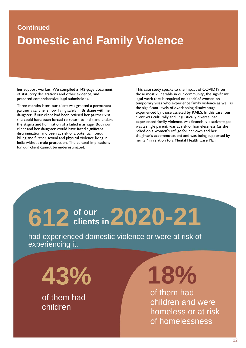# **Continued Domestic and Family Violence**

her support worker. We compiled a 142-page document of statutory declarations and other evidence, and prepared comprehensive legal submissions.

Three months later, our client was granted a permanent partner visa. She is now living safely in Brisbane with her daughter. If our client had been refused her partner visa. she could have been forced to return to India and endure the stigma and humiliation of a failed marriage. Both our client and her daughter would have faced significant discrimination and been at risk of a potential honour killing and further sexual and physical violence living in India without male protection. The cultural implications for our client cannot be underestimated. for our client cannot be underestimated.

This case study speaks to the impact of COVID19 on those most vulnerable in our community, the significant legal work that is required on behalf of women on temporary visas who experience family violence as well as the significant levels of overlapping disadvantage experienced by those assisted by RAILS. In this case, our client was culturally and linguistically diverse, had experienced family violence, was financially disadvantaged, was a single parent, was at risk of homelessness (as she relied on a women's refuge for her own and her daughter's accommodation) and was being supported by her GP in relation to a Mental Health Care Plan. her GP in relation to a Mental Health Care Plan.

# **612 2020-21 of our clients in**

had experienced domestic violence or were at risk of experiencing it.

**43%**

of them had children

**18%**

of them had children and were homeless or at risk of homelessness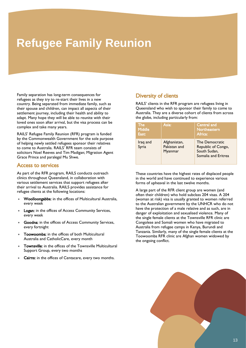# <span id="page-15-0"></span>**Refugee Family Reunion**

Family separation has long-term consequences for refugees as they try to re-start their lives in a new country. Being separated from immediate family, such as their spouse and children, can impact all aspects of their settlement journey, including their health and ability to adapt. Many hope they will be able to reunite with their loved ones soon after arrival, but the visa process can be complex and take many years.

RAILS' Refugee Family Reunion (RFR) program is funded by the Commonwealth Government for the sole purpose of helping newly settled refugees sponsor their relatives to come to Australia. RAILS' RFR team consists of solicitors Noel Reeves and Tim Madigan; Migration Agent Grace Prince and paralegal Mu Shwe. Grace Prince and paralegal Mu Shwe.

Access to services<br>As part of the RFR program, RAILS conducts outreach clinics throughout Queensland, in collaboration with various settlement services that support refugees after their arrival to Australia. RAILS provides assistance for  $\frac{1}{2}$  refusee clients at the following locations: refugee clients at the following locations:

- Woolloongabba: in the offices of Multicultural Australia, every week
- Logan: in the offices of Access Community Services,<br>every week every week
- Goodna: in the offices of Access Community Services, every fortnight
- Toowoomba: in the offices of both Multicultural<br>Australia and CatholicCare, every month  $A = \frac{1}{\sqrt{2\pi}}$
- **Townsville:** in the offices of the Townsville Multicultural<br>Support Group every two months Support Group, every two months
- Cairns: in the offices of Centacare, every two months.

**Diversity of clients**<br>RAILS' clients in the RFR program are refugees living in Queensland who wish to sponsor their family to come to Australia. They are a diverse cohort of clients from across  $\overline{\mathbf{A}}$  and  $\overline{\mathbf{A}}$  are a diverse contribution of contract of contract  $\overline{\mathbf{A}}$ 

| <b>The</b><br><b>Middle</b><br>East: | Asia:                                   | <b>Central and</b><br>Northeastern<br>Africa:                               |
|--------------------------------------|-----------------------------------------|-----------------------------------------------------------------------------|
| Iraq and<br>Syria                    | Afghanistan,<br>Pakistan and<br>Myanmar | The Democratic<br>Republic of Congo,<br>South Sudan,<br>Somalia and Eritrea |

These countries have the highest rates of displaced people in the world and have continued to experience various forms of upheaval in the last twelve months forms of upheaval in the last twelve months.

A large part of the RFR client group are women (and often their children) who hold subclass 204 visas. A 204 (woman at risk) visa is usually granted to women referred to the Australian government by the UNHCR who do not have the protection of a male relative and as such, are in danger of exploitation and sexualised violence. Many of the single female clients at the Townsville RFR clinic are. Congolese and Somali women who have migrated to Australia from refugee camps in Kenya, Burundi and Tanzania. Similarly, many of the single female clients at the Toowoomba RFR clinic are Afghan women widowed by  $\frac{1}{2}$  the ongoing conflict the ongoing conflict.

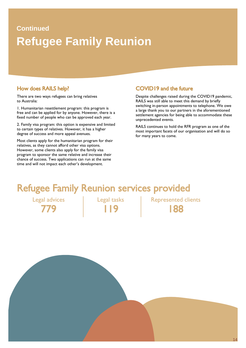# **Continued Refugee Family Reunion**

how does read the representation of the contract of the contract of the contract of the contract of the contract of the contract of the contract of the contract of the contract of the contract of the contract of the contra to Australia<sup>.</sup>

to Australia:<br>1. Humanitarian resettlement program: this program is free and can be applied for by anyone. However, there is a fixed number of people who can be approved each year.

2. Family visa program: this option is expensive and limited to certain types of relatives. However, it has a higher degree of success and more appeal avenues.

degree of success and more appeal avenues. Most clients apply for the humanitarian program for their relatives, as they cannot afford other visa options. However, some clients also apply for the family visa program to sponsor the same relative and increase their chance of success. Two applications can run at the same chance of successes. This applications can run at the same<br>time and will not impact each other's development time and will not impact each other's development.

### **COVID19 and the future**

Despite challenges raised during the COVID19 pandemic, RAILS was still able to meet this demand by briefly switching in-person appointments to telephone. We owe a large thank you to our partners in the aforementioned settlement agencies for being able to accommodate these unprecedented events.

RAILS continues to hold the RFR program as one of the most important facets of our organisation and will do so most important facets of our organisation and will do so.<br>for many vears to come  $f(x)$  many  $f(x)$  and  $f(x)$  come.

# Refugee Family Reunion services provided<br>Legal advices | Legal tasks | Represented clients

Legal advices Legal tasks Represented clients 779 119 188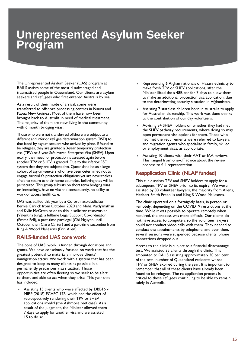# <span id="page-17-0"></span>**Unrepresented Asylum Seeker Program**

The Unrepresented Asylum Seeker (UAS) program at traumatised people in Queensland. Our clients are asylum trand. The people is a contract the contract of the season of the season of the season of the season of the sea seekers and refugees who first entered Australia by sea.

l

As a result of their mode of arrival, some were<br>transferred to offshore processing centres in Nauru and Papua New Guinea . Most of them have now been brought back to Australia in need of medical treatment. The majority of them are now living in the community. The majority of them are now ling in the community.<br>With 6 month bridging visas with 6 month bridging visas.

Those who were not transferred offshore are subject to a different and inferior refugee determination system (RSD) to that faced by asylum seekers who arrived by plane. If found to be refugees, they are granted a 3-year temporary protection visa (TPV) or 5-year Safe Haven Enterprise Visa (SHEV). Upon expiry, their need for protection is assessed again before another TPV or SHEV is granted. Due to the inferior RSD system that they are subjected to, Queensland hosts a large cohort of asylum-seekers who have been determined not to engage Australia's protection obligations yet are nevertheless afraid to return to their home countries, believing they will be persecuted. This group subsists on short term bridging visas or, increasingly, have no visa and consequently, no ability to work or access health care.

UAS was staffed this year by a Co-ordinator/solicitor Bernie Carrick from October 2020 and Neha Vaidyanathan and Kylie McGrath prior to this, a solicitor caseworker (Valentina Jung), a fulltime Legal Support Co-ordinator (Emma Fell), a part-time paralegal (Chi Nguyen until October then Clare Carter) and a part-time secondee from  $\mathsf{K}$ ing & Wood Mallesons (Frin Allen) King & Wood Mallesons (Erin Allen).

# **RAILS-funded UAS core work**<br>The core of UAS' work is funded through donations and

grants. We have consciously focused on work that has the greatest potential to materially improve clients' immigration status. We work with a system that has been designed to keep as many clients as possible in a permanently precarious visa situation. Those opportunities are often fleeting so we seek to be alert to them, and able to act when they arise. This year that has included: has included:

Assisting 15 clients who were affected by DBB16 v<br>MIBP [2018] FCAFC 178, which had the effect of retrospectively rendering their TPV or SHEV applications invalid (the Ashmore reef case). As a result of the judgment, the Minister allowed them 7 days to apply for another visa and we assisted  $15$  to do so. 15 to do so.

- Representing 6 Afghan nationals of Hazara ethnicity to make fresh TPV or SHEV applications, after the Minister lifted the s 48B bar for 7 days to allow them to make an additional protection visa application, due  $\frac{1}{100}$  and  $\frac{1}{100}$  and  $\frac{1}{100}$  and  $\frac{1}{100}$  and  $\frac{1}{100}$  and  $\frac{1}{100}$  and  $\frac{1}{100}$  and  $\frac{1}{100}$  and  $\frac{1}{100}$  and  $\frac{1}{100}$  and  $\frac{1}{100}$  and  $\frac{1}{100}$  and  $\frac{1}{100}$  and  $\frac{1}{100}$  a
- to the deterministance  $\mathbf{r}_i$  situation in  $\mathbf{r}_i$ Assisting 7 stateless children born in Australia to apply<br>for Australian citizenship. This work was done thanks to the contribution of our day volunteers.
- $t_{\rm t}$  to the contribution of  $\alpha$ • Advising 34 SHEV holders on whether they had met the SHEV pathway requirements, where doing so may open permanent visa options for them. Those who had met the requirements were referred to lawyers and migration agents who specialise in family, skilled  $\frac{1}{2}$  are migration and  $\frac{1}{2}$  in family, see and  $\frac{1}{2}$  $\sum_{i=1}^{n} a_i$  and  $\sum_{i=1}^{n} a_i$  and  $\sum_{i=1}^{n} a_i$  and  $\sum_{i=1}^{n} a_i$  and  $\sum_{i=1}^{n} a_i$
- Assisting 10 clients with their AAT or IAA reviews.<br>This ranged from one-off advice about the review The range of the review of the review of the review of the review of the review of the review of the review of the review of the review of the review of the review of the review of the review of the review of the review of process to full representation.

# **Reapplication Clinic (NLAP funded)**<br>This clinic assists TPV and SHEV holders to apply for a

subsequent TPV or SHEV prior to its expiry. We were assisted by 33 volunteer lawyers, the majority from Allens, assisted by 33 volunteer 23 volunteer 2013 volunteer in the major setting from Allens, the major setting the ma<br>Herbert Smith Freehills and King & Wood Mallesons

Herbert Smith Freehills and King & Wood Mallesons. The clinic operated on a fortnightly basis, in person or remotely, depending on the COVID19 restrictions at the time. While it was possible to operate remotely when required, the process was more difficult. Our clients do not have access to computers so the volunteer lawyers could not conduct video calls with them. They needed to conduct the appointments by telephone, and even then, several sessions were suspended because clients' phone connections dropped out.

connections dropped out. Access to the clinic is subject to a financial disadvantage test. We assisted 35 clients through the clinic. This amounted to RAILS assisting approximately 30 per cent of the total number of Queensland residents whose TPV or SHEV expired during the year. It is important to remember that all of these clients have already been. found to be refugees. The re-application process is critical to these refugees continuing to be able to remain safely in Australia. safely in Australia.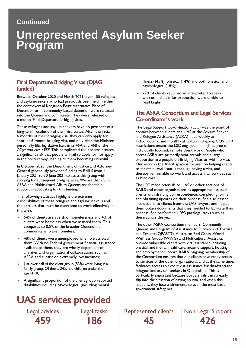### **Continued**

# **Unrepresented Asylum Seeker Program**

# Final Departure Bridging Visas (DJAG

Between October 2020 and March 2021, over 155 refugees and asylum-seekers who had previously been held in either the controversial Kangaroo Point Alternative Place of Detention or in community-based detention were released into the Queensland community. They were released on into the Queensland community. They were released on:<br>6 month 'Final Departure' bridging visas 6 month 'Final Departure' bridging visas.

These refugees and asylum seekers have no prospect of a long-term resolution of their visa status. After the initial 6 months of their bridging visa, they can only apply for another 6-month bridging visa, and only after the Minister personally lifts legislative bars in ss 46A and 46B of the *Migration Act 1958*. This complicated the process creates  $\frac{1}{2}$  a significant risk that people will fail to apply or not apply a significant  $\frac{1}{2}$  for  $\frac{1}{2}$  for the people  $\frac{1}{2}$  fail that people in the correct way leading to them becoming unlawful  $\ldots$  the correct way, leading to them becoming unlawful.

In October 2020, the Department of Justice and Attorney<br>General generously provided funding to RAILS from 1 January 2021 to 30 June 2021 to assist this group with applying for subsequent bridging visas. We are thankful to ASRA and Multicultural Affairs Queensland for their support in advocating for this funding.

The following statistics highlight the extreme vulnerabilities of these refugees and asylum seekers and the barriers that must be overcome to work effectively this area:

- 54% of clients are at risk of homelessness and 4% of clients were homeless when we assisted them. This compares to 0.5% of the broader Queensland  $\frac{1}{2}$  community who are homeless: community who are homeless;
- 48% of clients were unemployed when we assisted<br>them. With no Federal government financial assistance available to them, they are wholly dependent on charities and organisational collaborations such as ASRA and subsist on extremely low incomes; ASRA and subsist on extremely low incomes;
- Just over half of the client group  $(53%)$  were living in a<br>family group Of these 24% had children under the family group. Of these, 24% had children under the age of 18;
- A significant proportion of the client group reported disabilities including psychological (including mental

# **UAS services provided**<br>Legal advices Legal tasks

 $\frac{1}{2}$  is  $\frac{1}{2}$  (14%) and both physical (18%): psychological (18%);

72% of clients required an interpreter to speak with us and a similar proportion were unable to with us and a similar proportion were under the similar proportion were under the unit of the unit of the unit read English.

# The ASRA Consortium and Legal Services

The Legal Support Co-ordinator (LSC) was the point of contact between clients and UAS at the Asylum Seeker and Refugee Assistance (ASRA) hubs weekly at Indooroopilly, and monthly at Gatton. Ongoing COVID19 restrictions meant the LSC engaged in a high degree of individually focused, remote client work. People who access ASRA are primarily boat arrivals and a large proportion are people on Bridging Visas or with no visa. Our work in the ASRA space is focused on helping clients. to maintain lawful status through having a visa, and thereby remain able to work and access vital services such as Medicare. as Medicare.

The LSC made referrals to UAS or other sections of RAILS and other organisations as appropriate, assisted clients with drafting correspondence, completing forms and obtaining updates on their process. She also passed instructions to clients from the UAS lawyers and helped them obtain documents that they needed to facilitate their process. She performed 1,093 paralegal tasks such as  $\frac{1}{2}$  process. The performed 1,093 paraleles such as the such as the such as the such as the such as the such as the such as the such as the such as the such as the such as the such as the such as  $\frac{1}{2}$ these across the year.

The other ASRA Consortium members: Communify, and Trauma (QPASTT), Australian Red Cross, World Wellness Group (WWG) and Multicultural Australia, provide vulnerable clients with vital assistance including physical and mental healthcare, income support, housing and employment support. RAILS' ongoing membership of the Consortium ensures that our clients have ready access to services of the other organisations, and at the same time, facilitates access to expert visa assistance for disadvantaged refugees and asylum seekers in Queensland. This is particularly important because boat arrivals can so easily slip into the situation of having no visa, and when this happens, they lose entitlements to even the most basic happens, and hose entitlements to even the most basic.<br>Government safety net government safety net.

 $\overline{AB}$  and  $\overline{BA}$  tasks  $\overline{AB}$  and  $\overline{AB}$ 

459 186 45 426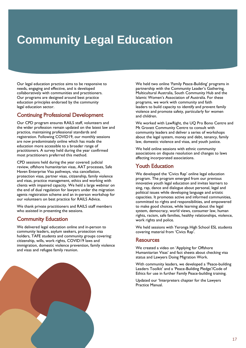# <span id="page-19-0"></span>**Community Legal Education**

Our legal education practice aims to be responsive to needs, engaging and effective, and is developed collaboratively with communities and practitioners. Our programs are designed around best practice education principles endorsed by the community legal education sector. legal education sector.

# **Continuing Professional Development**<br>Our CPD program ensures RAILS staff, volunteers and

the wider profession remain updated on the latest law and practice, maintaining professional standards and registration. Following COVID19, our monthly sessions are now predominately online which has made the education more accessible to a broader range of practitioners. A survey held during the year confirmed practitioners. The survey held during the year community most practitioners preferred this method.

CPD sessions held during the year covered: judicial Haven Enterprise Visa pathways, visa cancellation, protection visas, partner visas, citizenship, family violence and visas, practice management, ethics and working with clients with impaired capacity. We held a large webinar on the end of dual regulation for lawyers under the migration agents registration scheme and an in-person workshop for our volunteers on best practice for RAILS Advice.

We thank private practitioners and RAILS staff members who assisted in presenting the sessions. who assisted in presenting the sessions.

**Community Education**<br>We delivered legal education online and in-person to community leaders, asylum seekers, protection visa holders, TAFE students and community groups covering: citizenship, wills, work rights, COVID19 laws and immigration, domestic violence prevention, family violence  $\frac{1}{2}$  in Fig.  $\frac{1}{2}$  in the prevention,  $\frac{1}{2}$  is the violence prevention,  $\frac{1}{2}$  is the violence prevention. and visual and  $\mathbf{e}_{\mathbf{e}}$  relation.

We held two online 'Family Peace-Building' programs in partnership with the Community Leader's Gathering, Multicultural Australia, South Community Hub and the Islamic Women's Association of Australia. For these programs, we work with community and faith leaders to build capacity to identify and prevent family violence and promote safety, particularly for women and children.

We worked with LawRight, the UQ Pro Bono Centre and Mt Gravatt Community Centre to consult with community leaders and deliver a series of workshops about the legal system, money and debt, tenancy, family  $\frac{1}{2}$  above the legal system, money and  $\frac{1}{2}$  and  $\frac{1}{2}$  and  $\frac{1}{2}$  and  $\frac{1}{2}$  and  $\frac{1}{2}$  and  $\frac{1}{2}$  and  $\frac{1}{2}$  and  $\frac{1}{2}$  and  $\frac{1}{2}$  and  $\frac{1}{2}$  and  $\frac{1}{2}$  and  $\frac{1}{2}$  and  $\frac{1}{2}$  $\sum_{i=1}^{n}$ 

We held online sessions with ethnic community<br>associations on dispute resolution and changes to laws affecting incorporated associations. affecting incorporated associations.

**Youth Education**<br>We developed the 'Civics Rap' online legal education program. The program emerged from our previous innovative youth legal education and invites learners to sing, rap, dance and dialogue about personal, legal and political issues while developing language and artistic capacities. It promotes active and informed communities. committed to rights and responsibilities, and empowered to make good choices, while learning about the legal system, democracy, world views, consumer law, human rights, racism, safe families, healthy relationships, violence, work rights and police. working the and police.

 $\sim$  Covering material from 'Civics Ran' covering material from 'Civics Rap'.

### **Resources**

We created a video on 'Applying for Offshore Humanitarian Visas' and fact sheets about checking visa status and Lawyers Doing Migration Work.

With community leaders, we developed a 'Peace-building Leaders Toolkit' and a 'Peace-Building Pledge'/Code of Leaders Toolkit' and a 'Peace-Building', toolge vector of Ethics for use in further Family Peace-building training.

Updated our 'Interpreters chapter for the Lawyers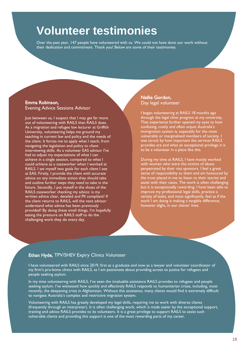# <span id="page-20-0"></span>**Volunteer testimonies**

their dedication and commitment. Thank you! Below are some of their testimonies

## **Emma Robinson,<br>Evening Advice Sessions Advisor**

Evening Advice Sessions Advisor Just between us, I suspect that I may get far more<br>out of volunteering with RAILS than RAILS does. As a migration and refugee law lecturer at Griffith University, volunteering helps me ground my teaching in current law and policy and the needs of the client. It forces me to apply what I teach, from navigating the legislation and policy to client navigating the regension and policy to client<br>interviewing skills. As a volunteer EAS advisor I've<br>had to adjust my expectations of what I can had to adjust my expectations of what I can<br>achieve in a single session, compared to what I could achieve as a caseworker when I worked at RAILS. I set myself two goals for each client I see at EAS: Firstly, I provide the client with accurate advice on any immediate action they should take and outline further steps they need to take in the future. Secondly, I put myself in the shoes of the RAILS caseworker checking my advice: is my written advice clear, detailed and PII compliant? If the client returns to RAILS, will the next advisor understand what advice has been previously provided? By doing these small things, I'm hopefully easing the pressure on RAILS staff to do the easing the pressure of the pressure of the pressure of the pressure of the pressure of the pressure of the pre challenging work they do every day.

## Nellie Gordon,<br>Day legal volunteer

I began volunteering at RAILS 18 months ago<br>through the legal clinic program at my university. That experience further opened my eyes to how confusing, costly and often unjust Australia's  $\frac{c}{m}$  immigration system is, especially for the most vulnerable or marginalised members of society. I was struck by how important the services RAILS provides are and what an exceptional privilege it is to be a volunteer in a place like this.

During my time at RAILS, I have mostly worked perpetrated by their visa sponsors. I feel a great sense of responsibility to them and am honoured by the trust placed in me to listen to their stories and assist with their cases. The work is often challenging but it is exceptionally rewarding. I have been able to improve my professional legal skills, practice a variety of tasks, and most significantly, feel as if the work  $I$  am doing is making a tangible difference, work I am doing is making a tangible difference,

### Ethan Hyde, TPV/SHEV Expiry Clinics Volunteer

I have volunteered with RAILS since 2019, first as a graduate and now as a lawyer and volunteer coordinator of<br>my firm's pro-bono clinics with RAILS, as I am passionate about providing access to justice for refugees and  $\mathbf{p}_{\mathsf{P}}$  first with RAILS, as I am passionate about providing access to justice for refugees and refugees and people seeking asylum.

In my time volunteering with RAILS, I've seen the invaluable assistance RAILS provides to refugees and people<br>seeking asylum. I've witnessed how quickly and effectively RAILS responds to humanitarian crises, including, mos recently, the deepening crisis in Afghanistan. Without this assistance, many clients would find it extremely difficult to navigate Australia's complex and restrictive migration system. Without this would find it extremely difficult to navigate Australia's complex and restrictive migration system.

Volunteering with RAILS has greatly developed my legal skills, requiring me to work with diverse clients<br>(frequently through an interpreter). It is often challenging work, which is made easier by the exceptional support, training and advice RAILS provides to its volunteers. It is a great privilege to support RAILS to assist such  $t$  training and advice RAILS provides to its volume  $\frac{1}{2}$  is a great provided to  $t$  is a great provided to  $\frac{1}{2}$  in the most rewarding parts of my career. vulnerable clients and providing this support is one of the most rewarding parts of my career.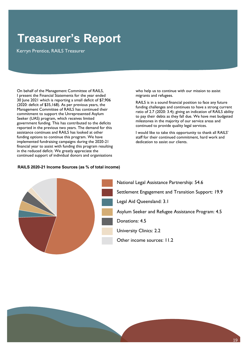# <span id="page-21-0"></span>**Treasurer's Report**

On behalf of the Management Committee of RAILS,<br>I present the Financial Statements for the year ended 30 June 2021 which is reporting a small deficit of \$7,906  $(2020:$  deficit of \$35,168). As per previous years, the Management Committee of RAILS has continued their commitment to support the Unrepresented Asylum Seeker (UAS) program, which receives limited government funding. This has contributed to the deficits reported in the previous two years. The demand for this assistance continues and RAILS has looked at other funding options to continue this program. We have implemented fundraising campaigns during the 2020-21 financial year to assist with funding this program resulting in the reduced deficit. We greatly appreciate the continued support of individual donors and organ continued support of individual donors and organisations

### **RAILS 2020-21 Income Sources (as % of total income)**

who help us to continue with our mission to assist migrants and refugees.

RAILS is in a sound financial position to face any future funding challenges and continues to have a strong current ratio of 2.7 (2020: 3.4); giving an indication of RAILS ability to pay their debts as they fall due. We have met budgeted milestones in the majority of our service areas and milieston military in the major services and major services continued to provide quality legal services.

I would like to take this opportunity to thank all RAILS' dedication to assist our clients.



18 19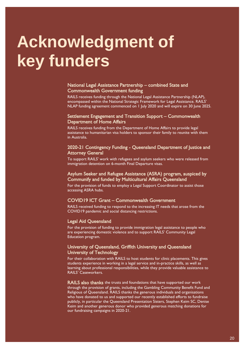# <span id="page-22-0"></span>**Acknowledgment of key funders**

## National Legal Assistance Partnership – combined State and

RAILS receives funding through the National Legal Assistance Partnership (NLAP), encompassed within the National Strategic Framework for Legal Assistance. RAILS' encomplessed within the National Strategic Framework for Legal Assistance. Rails<br>NLAP funding agreement commenced on L July 2020 and will expire on 30 June 202 NLAP funding agreement commenced on 1 July 2020 and will expire on 30 June 2025.

## Settlement Engagement and Transition Support – Commonwealth

RAILS receives funding from the Department of Home Affairs to provide legal  $R_{\text{max}}$  receives funding from the Department of Home Affairs to provide legalizations assistance to humanitarian visa holders to sponsor their family to reunite with assistance to humanitarian visa holders to sponsor their family to reunite with them

## 2020-21 Contingency Funding - Queensland Department of Justice and

To support RAILS' work with refugees and asylum seekers who were released from To support RAILS' work with refugees and asylum seekers with were released from and the complete from the model immigration detention on 6-month Final Departure visas.

### Asylum Seeker and Refugee Assistance (ASRA) program, auspiced by

Community and funded by Multicultural affiliation Constitution For the provision of funds to employ a Legal Support Coordinator to assist those i<br>accessing ASRA hubs accessing ASRA hubs.

COVID19 ICT Grant – Commonwealth Government<br>RAILS received funding to respond to the increasing IT needs that arose from the COVID19 pandemic and social distancing restrictions. COVID19 pandemic and social distancing restrictions.

Legal Aid Queensland<br>For the provision of funding to provide immigration legal assistance to people who  $\frac{1}{2}$  for the provision of  $\frac{1}{2}$  and  $\frac{1}{2}$  as  $\frac{1}{2}$  for  $\frac{1}{2}$  and  $\frac{1}{2}$  for  $\frac{1}{2}$  for  $\frac{1}{2}$  for  $\frac{1}{2}$  for  $\frac{1}{2}$  for  $\frac{1}{2}$  for  $\frac{1}{2}$  for  $\frac{1}{2}$  for  $\frac{1}{2}$  for  $\frac{1}{2}$ are experience and to support the support RAILS' Community Legales. Education program.

## University of Queensland, Griffith University and Queensland

For their collaboration with RAILS to host students for clinic placements. This gives students experience in working in a legal service and in-practice skills, as well as students experience in working in a legal service and in-practice skills, as well as<br>learning about professional responsibilities, while they provide valuable assistance learning about professional responsibilities, while they provide valuable assistance to

**RAILS also thanks** the trusts and foundations that have supported our work through the provision of grants, including the Gambling Community Benefit Fund and Religious of Oueensland. RAILS thanks the generous individuals and organisations who have donated to us and supported our recently established efforts to fundraise publicly, in particular the Queensland Presentation Sisters, Stephen Keim SC, Denise Keim and another generous donor who provided generous matching donations for our fundraising campaigns in 2020-21. our fundraising campaigns in 2020-21.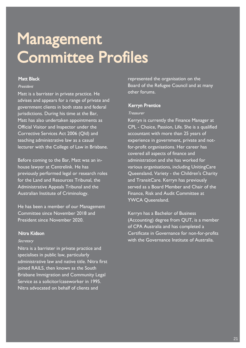# <span id="page-23-0"></span>**Management<br>Committee Profiles** Mett Bleck<br>Mott Bleck

### n Black Black<br>*President*

Matt is a barrister in private practice. He<br>advises and appears for a range of private and government clients in both state and federal jurisdictions. During his time at the Bar, Matt has also undertaken appointments as Official Visitor and Inspector under the Corrective Services Act 2006 (Old) and teaching administrative law as a casual teaching administrative law as a casual.<br>Iochuron with the College of Low in Dri lecturer with the College of Law in Brisbane.

Before coming to the Bar, Matt was an in-<br>house lawyer at Centrelink. He has previously performed legal or research roles for the Land and Resources Tribunal, the Administrative Appeals Tribunal and the  $\Lambda$ Australian Institute of Criminology.

He has been a member of our Management<br>Committee since November 2018 and President since November 2020.

### Nitra Kidson

### Secretary

Nitra is a barrister in private practice and<br>specialises in public law, particularly administrative law and native title. Nitra first joined RAILS, then known as the South Brisbane Immigration and Community Legal Service as a solicitor/caseworker in 1995. Nitra advocated on behalf of clients and

represented the organisation on the<br>Board of the Refugee Council and at many other forums.

### Kerryn Prentice Treasurer

Kerryn is currently the Finance Manager at<br>CPL - Choice, Passion, Life. She is a qualified accountant with more than 25 years of experience in government, private and notfor-profit organisations. Her career has covered all aspects of finance and administration and she has worked for various organisations, including UnitingCare Queensland, Variety - the Children's Charity<br>and TransitCare, Kermin has aroviaushy and TransitCare. Kerryn has previously<br>served as a Board Member and Chair of the Finance, Risk and Audit Committee at YWCA Queensland. YWCA Queensland.

Kerryn has a Bachelor of Business<br><u>(Accounting) degree from Q</u>UT, is a member of CPA Australia and has completed a Certificate in Governance for non-for-profits with the Governance Institute of Australia.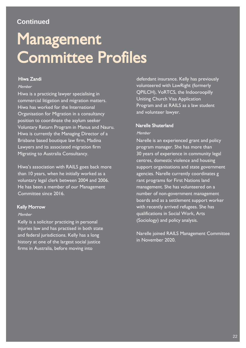### **Continued**

# Management<br>Committee Profiles Committee Profiles Profiles Profiles Profiles Profiles Profiles Profiles Profiles Profiles Profiles Profiles Profiles Profiles Profiles Profiles Profiles Profiles Profiles Profiles Profiles Profiles Profiles Profiles Profi

### men<br>Member

Hiwa is a practicing lawyer specialising in<br>commercial litigation and migration matters. Hiwa has worked for the International Organisation for Migration in a consultancy position to coordinate the asylum seeker Voluntary Return Program in Manus and Nauru. Hiwa is currently the Managing Director of a Brisbane based boutique law firm, Madina Lawyers and its associated migration firm Lawyers and its associated migration mini-Migrating to Australia Consultancy.

Hiwa's association with RAILS goes back more<br>than 10 years, when he initially worked as a voluntary legal clerk between 2004 and 2006. He has been a member of our Management Committee since 2016.

### Kelly Morrow Member

Kelly is a solicitor practicing in personal<br>iniuries law and has practised in both state and federal jurisdictions. Kelly has a long history at one of the largest social justice history at one of the largest social justice.<br>Since in Australia, hefere mexing into firms in Australia, before moving into

defendant insurance. Kelly has previously<br>volunteered with LawRight (formerly QPILCH), VoRTCS, the Indooroopilly Uniting Church Visa Application Program and at RAILS as a law student Program and at RAILS as a law student

### Member

Narelle is an experienced grant and policy<br>program manager. She has more than 30 years of experience in community legal centres, domestic violence and housing support organisations and state government agencies. Narelle currently coordinates g rant programs for First Nations land management. She has volunteered on a number of non-government management boards and as a settlement support worker with recently arrived refugees. She has qualifications in Social Work, Arts  $q$ <sup>-</sup>  $q$ <sup>-</sup>  $q$ <sup>-</sup>  $q$ <sup>-</sup>  $q$ <sup>-</sup>  $q$ <sup>-</sup>  $q$ <sup>-</sup>  $q$ <sup>-</sup>  $q$ <sup>-</sup>  $q$ <sup>-</sup>  $q$ <sup>-</sup>  $q$ <sup>-</sup>  $q$ <sup>-</sup>  $q$ <sup>-</sup>  $q$ <sup>-</sup>  $q$ <sup>-</sup> $q$ <sup>-</sup> $q$ <sup>-</sup> $q$ <sup>-</sup> $q$ <sup>- $q$ </sup>- $q$ <sup>- $q$ </sup>- $q$ <sup>- $q$ </sup>- $q$  $\left($ Sociology) and policy analysis.

Narelle joined RAILS Management Committee

16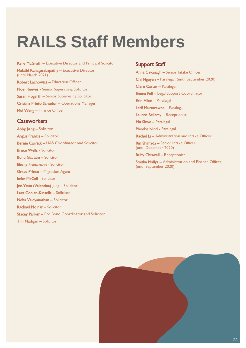# <span id="page-25-0"></span>**RAILS Staff Members**

Kylie McGrath – Executive Director and Principal Solicitor<br>Malathi Kanagasabapathy – Executive Director (until March 2021) **Robert Lachowicz - Education Officer Noel Reeves - Senior Supervising Solicitor** Noel Reeves - Senior Supervising Solicitor Susan Hogarth – Senior Supervising Solicitor Cristina Prieto Salvador – Operations Manager Mei Wang – Finance Officer

### Caseworkers

Abby liang - Solicitor Angus Francis – Solicitor Bernie Carrick – UAS Coordinator and Solicitor Bernie Carrick – UAS Coordinator and Solicitor **Bunu Gautam - Solicitor** Ebony Franzmann - Solicitor **Grace Prince - Migration Agent** Imke McCall - Solicitor Jee-Yeun (Valentina) Jung - Solicitor Lara Conlan-Kinsella – Solicitor Neha Vaidvanathan – Solicitor Rachael Molnar – Solicitor Rachael Molnar – Solicitor Stacey Parker – Pro Bono Coordinator and Solicitor Tim Madigan – Solicitor

**Support Staff**<br> **Anna Cavanagh –** Senior Intake Officer Anna Cavanagh – Senior Intake Officer Chi Nguyen – Paralegal, (until September 2020) Clare Carter – Paralegal Emma Fell – Legal Support Coordinator **Erin Allen – Paralegal<br>Latif Murtazawee – Paralegal**  $\mathbb{L}$ atif Murta $\mathbb{L}$ a $\mathbb{L}$ aralegal  $\mathbb{L}$  and  $\mathbb{L}$  extending  $\mathbb{L}$ Mu Shwe – Paralegal<br>Phoebe Nind - Paralegal Rachel Li - Administration and Intake Officer Rin Shimada – Senior Intake Officer. ran Shimada – Senior Intake Officer,  $\sum_{i=1}^{n}$ 

Ruby Chiswell – Receptionist<br>Smitha Mallya – Administration and Finance Officer, Support of the Mallya entry of the Mallya entry of the Finance Officer,  $\frac{1}{2}$  $($ until September 2020 $)$ 

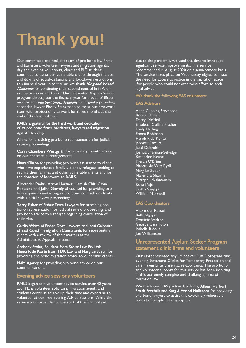# <span id="page-26-0"></span>**Thank you!**

Our committed and resilient team of pro bono law firms and barristers, volunteer lawyers and migration agents, day and evening volunteers, clinic and PLT students continued to assist our vulnerable clients through the ups and downs of social-distancing and lockdown restrictions this financial year. In particular, we thank *King and Wood*<br>*Mallesons* for continuing their secondment of Frin Allen **Mallesons** for continuing their secondment of Erin Allen<br>as practice assistant to our Unrepresented Asylum Seeker program throughout the financial year for a total of fifteen ,<br>months and *Herbert Smith Freehills* for urgently providing<br>secondee lawyer Fhony Franzmann to assist our casework secondee lawyer Ebony Franzmann to assist our casework<br>team with protection visa work for three months at the end of this financial year.

### RAILS is grateful for the hard work and dedication rails is grateful for the hard work and dedication of the hard work and dedication of the hard work and dedica<br>Of its pro bono firms harristers lawyers and migra of its productions, barristers, and productions, and migration agents including:

Allens for providing pro bono representation for judicial.<br>Peview proceedings review proceedings.<br>**Corrs Chambers Westgarth** for providing us with advice

Corris Chambers Westgarth for providing us with a decision of providing us with a discrete use of providing us<br>Con our contractual arrangements on our contractual arrangements.

MinterEllison for providing pro bono assistance to clients<br>who have experienced family violence, refugees seeking to reunify their families and other vulnerable clients and for the donation of hardware to RAILS.

Alexander Psaltis, Arron Hartnet, Hamish Clift, Gavin Rebetzke and Julian Gormly of counsel for providing pro bono opinions and acting as pro bono counsel for clients  $\frac{1}{2}$  with indicial review proceedings

Terry Fisher of Fisher Dore Lawyers for providing pro<br>bono representation for judicial review proceedings and bono representation for judicial review proceedings and<br>pro bono advice to a refugee regarding cancellation of pro bono advice to a regarding cancellation of the region of the cancellation of the cancellation of the cancellation of the cancellation of the cancellation of the cancellation of the cancellation of the cancellation of t

Caitlin White of Fisher Dore Lawyers and Jessi Galbraith of East Coast Immigration Consultants for representing clients with a review of their matters at the chemic with a review of their matters at the<br>Administrative Anneals Tribunal Administrative Appeals Tribunal.

Anthony Stolar, Solicitor from Stolar Law Pty Ltd;<br>Hendrik de Korte from TDK Law and Marg Le Sueur for Hendrik de Korte from TDK 2011 2012 1918 2019 2019 1919<br>Broviding Bro-bono migration advice to vulnerable clients

providing pro bono migration advice to vulnerable clients. **M4M Agency** for providing pro bono advice on our communications.

# Evening advice sessions volunteers<br>RAILS began as a volunteer advice service over 40 years

ago. Many volunteer solicitors, migration agents and students continue to give up their time and expertise to volunteer at our free Evening Advice Sessions. While the volunteer at our free Evening Advice Sessions. While the due to the pandemic, we used the time to introduce significant service improvements. The service recommenced in August 2020 on a semi-remote basis. The service takes place on Wednesday nights, to meet the need for access to justice in the migration space to the need for accept to the migration of the migration space for people who could not otherwise afford to see the seeking to see the seeking of the seeking to see the seeking of the seeking of the seeking of the seeking of the seeking of the seeking of the seeking of the seeking of legal advice.

# We thank the following EAS volunteers:<br>EAS Advisors

Anna Gunning Stevenson Bianca Chisari Darryl McNeill Elizabeth Collins-Fischer Emily Darling Emma Robinson Hendrik de Korte lennifer Samuta lessi Galbraith Joshua Sharman-Selvidge Katherine Keane Kieran O'Brien Marcus de Witt Ryall Marg Le Sueur Narendra Sharma Prataph Lakshmanam Roya Majd Sastha Saniava **William Markwell** 

### **EAS Coordinators**

Alexander Russel **Rella Nguven** Dominic Wa George Carrington Isabella Ridout Ioe Williamson

### Unrepresented Asylum Seeker Program statement clinic firms and volunteers

Our Unrepresented Asylum Seeker (UAS) program runs evening Statement Clinics for Temporary Protection and Safe Haven Enterprise visa re-applicants. The pro bono and volunteer support for this service has been inspiring in this extremely complex and challenging area of  $\frac{1}{2}$  in this extremely complex and challenging area of  $\frac{1}{2}$ migration law.

We thank our UAS partner law firms, Allens, Herbert<br>Smith Freehills and King & Wood Mallesons for providing pro bono lawyers to assist this extremely vulnerable pro bono lany sistematic this end since youngers assistant cohort of people seeking asylum.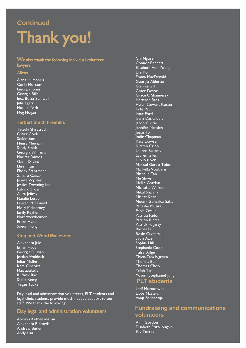## **Continued**

# Thank you!<br>We also thank the following individual volunteer

# lawyers:

### Allens

Alana Humphris **Corin Morcom** Georgia Iones Georgie Bills Inez Botta-Stanwell Iulia Egarr Maaike York  $M_{\Theta}$ g H $\Omega$ gan  $\sim$   $\sim$   $\sim$   $\sim$ 

### **Herbert Smith Freehills**

Tatsuki Shiratsuchi Stebin Sam Henry Meehan Sandy Smith Georgia Williams Maritsa Samios **Gavin Davies Elise Higgs** Ebony Franzmann Samara Cassar Jamilla Wynter Jessica Downing-Ide Patrick Cross Allira leffrey Natalie Lesco Lauren McDonald Molly McInerney **Emily Reyher** Matt Wertheimer Ethan Hyde Soeun Hong Soeun Hong

### **King and Wood Mallesons**

Alexandra Jule Georgia Sullivan Jordan Waldock Julius Moller Kate Cincotta Max Ziukelis Ruthvik Rao Sacha Kemp Tegan Tucker Tegan Tucker

Day legal and administration volunteers, PLT students and legal clinic students provide much needed support to our legal clinic students provide much needed support to our<br>staff We thank the following: staff. We thank the following:

# Day legal and administration volunteers

Alexandra Richards Andrew Butler Andrew Butler<br>Andre Luu

Chi Nguyen<br>Connor Bennett Elisabeth Ann Young Elle Ko Emma MacDonald Georgia Alderton Glennis Gill Grace Desoe Grace O'Shannessy<br>Harrison Bass Harrison Bass India Paul **Isaac Ford** Ivana Daskalovic Jacob Currie Jennifer Messieh lesse To Jodie Chapman Kate Dowse Kirsten Cribb Lauren Bellamy Lauren Giles Lilly Nauven Lilly 1997<br>Marisol Gari Markella Voulcaris Michelle Tan Mu Shwe Nellie Gordon Nicholas Walker Nikul Sharma Nishat Khan Noemi Gonzalez-Salas Panashe Muzira Paola Ovalle Patricia Pador Patricia Riddle Patrick Fogarty Rachel Li Rosie Cavdarski Sadia Azizi Sophie Hill Stephanie Cook Talya Bolge Thien-Tam Nguyen Thomas Bell Thomas Choo Trinh Tan Yosun (Stephanie) Jung **PLT students** 

Latif Murtazawee Vania Serbedz

### **Fundraising and communications volunteers**

Aimi Gordon<br>Elisabeth Fritz-Joughin Elly Torres<br>Flly Torres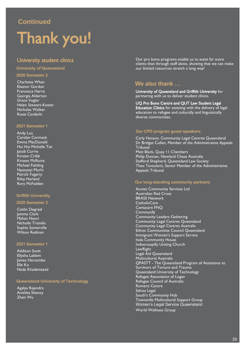### **Continued**

# **Thank you!**<br>University student clinics

### **University of Queensland 2020 Semester 2**

**Charlotte Whan**<br>Eleanor Gordon Francesca Harris Georgia Alderton Grace Vogler Helen Stewart-Koster Nicholas Walker Rosie Cavdarki

### **2021 Semester 1**

Andy Luu<br>Caroly<u>n Cormack</u> Emma MacDonald Hui Hui Michelle Tan Jacob Currie Kirsten Cribb Kirsten McRuvie Michael Fielding Nyenyezi Murhi Patrick Fogarty **Riley Harland** rmey Harland<br>Rory McFadd

### **Griffith University**

### **2020 Semester 2**

Caitlin Degraaf Mahan Nouri Nicholle Triandis Sophie Somerville Wilson Redman

### **2021 Semester 1**

Addison Scott Iames Harcombe Elle Ko Neda Khademazad

### **Queensland University of Technology**

Agalya Rajendra  $\overline{Z}$ hen Wu

Our pro bono programs enable us to assist far more<br>clients than through staff alone, showing that we can make our limited resources stretch a long way! our limited resources stretch a long way!

### **We also thank …**

University of Queensland and Griffith University for partnering with us to deliver student clinics.

UO Pro Bono Centre and OUT Law Student Legal Education Clinics for assisting with the delivery of legal education to refugee and culturally and linguistically diverse communities.

### **Our CPD program guest speakers:**

Carly Hanson, Community Legal Centres Queensland **Tribunal** Matt Black, Ouay 11 Chambers Philip Duncan, Newland Chase Australia Stafford Shepherd, Oueensland Law Society Theo Tavoularis, Senior Member of the Administrative Appeals Tribunal Appeals Tribunal

### **Our long-standing community partners:**

Access Community Services Ltd<br>Australian Red Cross **BRASS Network** CatholicCare Centacare FNO Communify **Community Leaders Gathering** Community Legal Centres Queensland Community Legal Centres Australia Ethnic Communities Council Queensland Immigrant Women's Support Service Inala Community House Indooroopilly Uniting Church LawRight Legal Aid Queensland Multicultural Australia QPASTT - The Queensland Program of Assistance to Survivors of Torture and Trauma Queensland University of Technology Refugee Association of Logan Refugee Council of Australia Romero Centre Salvos Legal South's Community Hub Townsville Multicultural Support Group Townsville Multicultural Support Group Women's Legal Service Queensland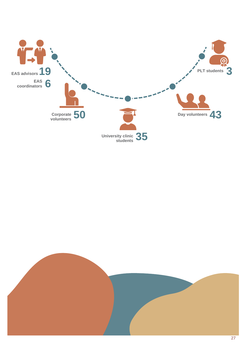

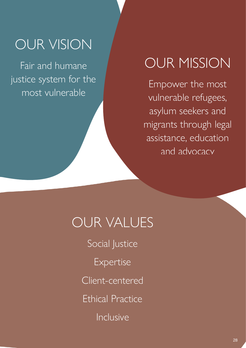# OUR VISION

Fair and humane justice system for the most vulnerable

# OUR MISSION

Empower the most vulnerable refugees, asylum seekers and migrants through legal assistance, education and advocacy

# OUR VALUES

Social Justice Expertise Client-centered

Ethical Practice

Inclusive